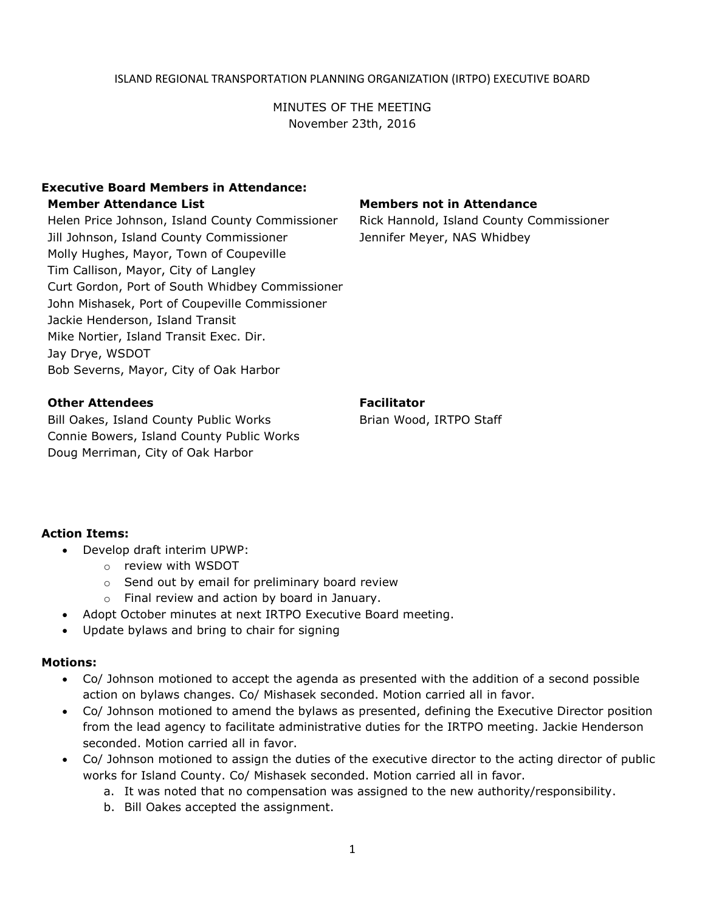#### ISLAND REGIONAL TRANSPORTATION PLANNING ORGANIZATION (IRTPO) EXECUTIVE BOARD

MINUTES OF THE MEETING November 23th, 2016

### **Executive Board Members in Attendance: Member Attendance List Members not in Attendance**

Helen Price Johnson, Island County Commissioner Rick Hannold, Island County Commissioner Jill Johnson, Island County Commissioner Jennifer Meyer, NAS Whidbey Molly Hughes, Mayor, Town of Coupeville Tim Callison, Mayor, City of Langley Curt Gordon, Port of South Whidbey Commissioner John Mishasek, Port of Coupeville Commissioner Jackie Henderson, Island Transit Mike Nortier, Island Transit Exec. Dir. Jay Drye, WSDOT Bob Severns, Mayor, City of Oak Harbor

### **Other Attendees Facilitator Facilitator**

Bill Oakes, Island County Public Works Brian Wood, IRTPO Staff Connie Bowers, Island County Public Works Doug Merriman, City of Oak Harbor

#### **Action Items:**

- Develop draft interim UPWP:
	- o review with WSDOT
	- o Send out by email for preliminary board review
	- o Final review and action by board in January.
- Adopt October minutes at next IRTPO Executive Board meeting.
- Update bylaws and bring to chair for signing

#### **Motions:**

- Co/ Johnson motioned to accept the agenda as presented with the addition of a second possible action on bylaws changes. Co/ Mishasek seconded. Motion carried all in favor.
- Co/ Johnson motioned to amend the bylaws as presented, defining the Executive Director position from the lead agency to facilitate administrative duties for the IRTPO meeting. Jackie Henderson seconded. Motion carried all in favor.
- Co/ Johnson motioned to assign the duties of the executive director to the acting director of public works for Island County. Co/ Mishasek seconded. Motion carried all in favor.
	- a. It was noted that no compensation was assigned to the new authority/responsibility.
	- b. Bill Oakes accepted the assignment.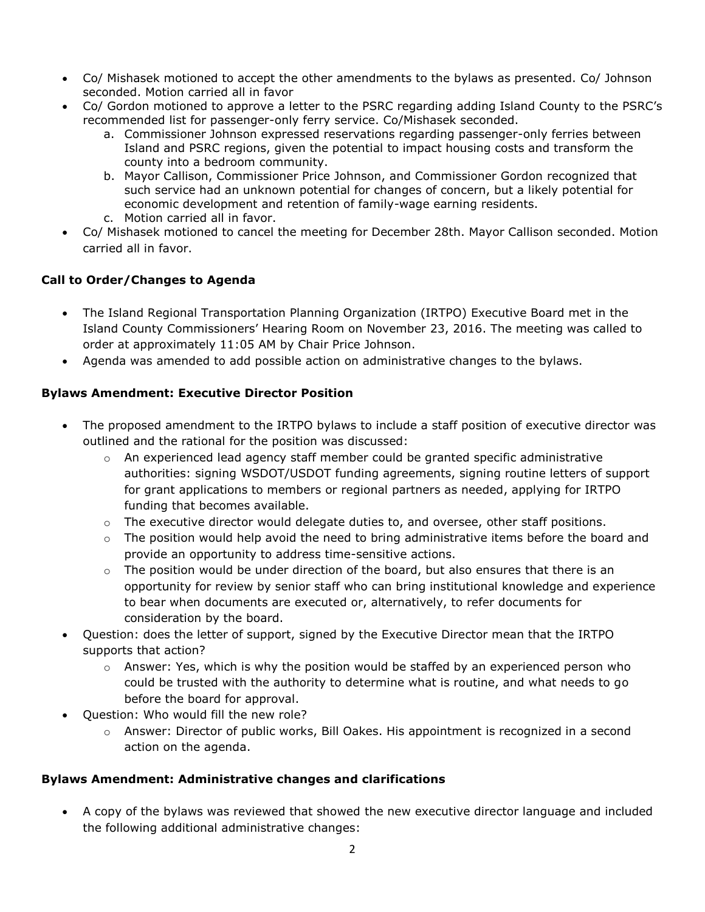- Co/ Mishasek motioned to accept the other amendments to the bylaws as presented. Co/ Johnson seconded. Motion carried all in favor
- Co/ Gordon motioned to approve a letter to the PSRC regarding adding Island County to the PSRC's recommended list for passenger-only ferry service. Co/Mishasek seconded.
	- a. Commissioner Johnson expressed reservations regarding passenger-only ferries between Island and PSRC regions, given the potential to impact housing costs and transform the county into a bedroom community.
	- b. Mayor Callison, Commissioner Price Johnson, and Commissioner Gordon recognized that such service had an unknown potential for changes of concern, but a likely potential for economic development and retention of family-wage earning residents.
	- c. Motion carried all in favor.
- Co/ Mishasek motioned to cancel the meeting for December 28th. Mayor Callison seconded. Motion carried all in favor.

## **Call to Order/Changes to Agenda**

- The Island Regional Transportation Planning Organization (IRTPO) Executive Board met in the Island County Commissioners' Hearing Room on November 23, 2016. The meeting was called to order at approximately 11:05 AM by Chair Price Johnson.
- Agenda was amended to add possible action on administrative changes to the bylaws.

## **Bylaws Amendment: Executive Director Position**

- The proposed amendment to the IRTPO bylaws to include a staff position of executive director was outlined and the rational for the position was discussed:
	- $\circ$  An experienced lead agency staff member could be granted specific administrative authorities: signing WSDOT/USDOT funding agreements, signing routine letters of support for grant applications to members or regional partners as needed, applying for IRTPO funding that becomes available.
	- $\circ$  The executive director would delegate duties to, and oversee, other staff positions.
	- $\circ$  The position would help avoid the need to bring administrative items before the board and provide an opportunity to address time-sensitive actions.
	- $\circ$  The position would be under direction of the board, but also ensures that there is an opportunity for review by senior staff who can bring institutional knowledge and experience to bear when documents are executed or, alternatively, to refer documents for consideration by the board.
- Question: does the letter of support, signed by the Executive Director mean that the IRTPO supports that action?
	- $\circ$  Answer: Yes, which is why the position would be staffed by an experienced person who could be trusted with the authority to determine what is routine, and what needs to go before the board for approval.
- Question: Who would fill the new role?
	- $\circ$  Answer: Director of public works, Bill Oakes. His appointment is recognized in a second action on the agenda.

## **Bylaws Amendment: Administrative changes and clarifications**

 A copy of the bylaws was reviewed that showed the new executive director language and included the following additional administrative changes: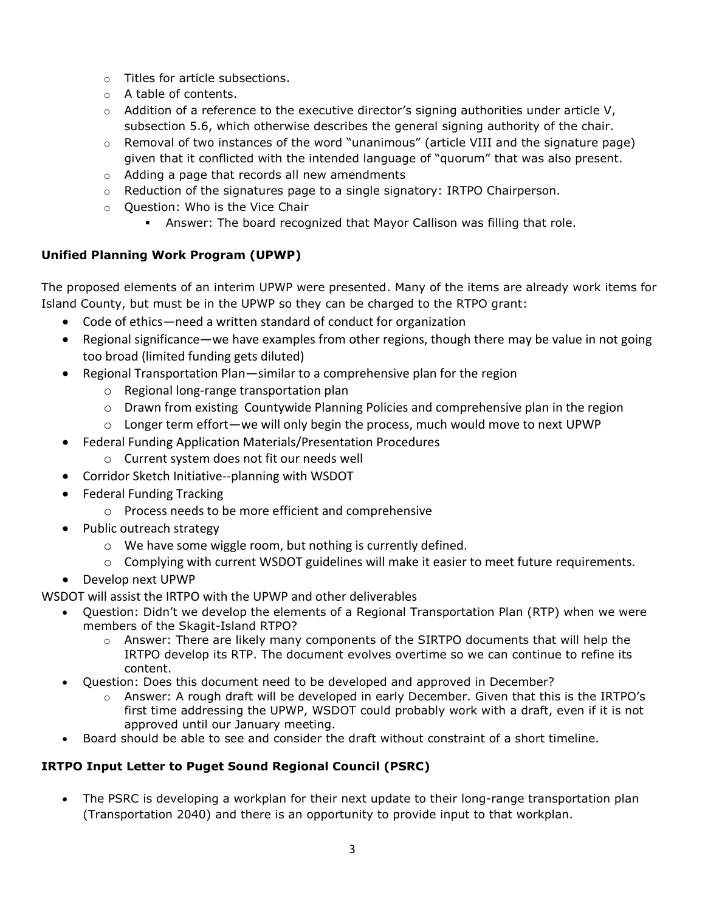- o Titles for article subsections.
- o A table of contents.
- $\circ$  Addition of a reference to the executive director's signing authorities under article V, subsection 5.6, which otherwise describes the general signing authority of the chair.
- $\circ$  Removal of two instances of the word "unanimous" (article VIII and the signature page) given that it conflicted with the intended language of "quorum" that was also present.
- o Adding a page that records all new amendments
- $\circ$  Reduction of the signatures page to a single signatory: IRTPO Chairperson.
- o Question: Who is the Vice Chair
	- Answer: The board recognized that Mayor Callison was filling that role.

## **Unified Planning Work Program (UPWP)**

The proposed elements of an interim UPWP were presented. Many of the items are already work items for Island County, but must be in the UPWP so they can be charged to the RTPO grant:

- Code of ethics—need a written standard of conduct for organization
- Regional significance—we have examples from other regions, though there may be value in not going too broad (limited funding gets diluted)
- Regional Transportation Plan—similar to a comprehensive plan for the region
	- o Regional long-range transportation plan
	- $\circ$  Drawn from existing Countywide Planning Policies and comprehensive plan in the region
	- o Longer term effort—we will only begin the process, much would move to next UPWP
- Federal Funding Application Materials/Presentation Procedures
	- o Current system does not fit our needs well
- Corridor Sketch Initiative--planning with WSDOT
- Federal Funding Tracking
	- o Process needs to be more efficient and comprehensive
- Public outreach strategy
	- o We have some wiggle room, but nothing is currently defined.
	- $\circ$  Complying with current WSDOT guidelines will make it easier to meet future requirements.
- Develop next UPWP

WSDOT will assist the IRTPO with the UPWP and other deliverables

- Question: Didn't we develop the elements of a Regional Transportation Plan (RTP) when we were members of the Skagit-Island RTPO?
	- o Answer: There are likely many components of the SIRTPO documents that will help the IRTPO develop its RTP. The document evolves overtime so we can continue to refine its content.
- Question: Does this document need to be developed and approved in December?
	- $\circ$  Answer: A rough draft will be developed in early December. Given that this is the IRTPO's first time addressing the UPWP, WSDOT could probably work with a draft, even if it is not approved until our January meeting.
- Board should be able to see and consider the draft without constraint of a short timeline.

# **IRTPO Input Letter to Puget Sound Regional Council (PSRC)**

• The PSRC is developing a workplan for their next update to their long-range transportation plan (Transportation 2040) and there is an opportunity to provide input to that workplan.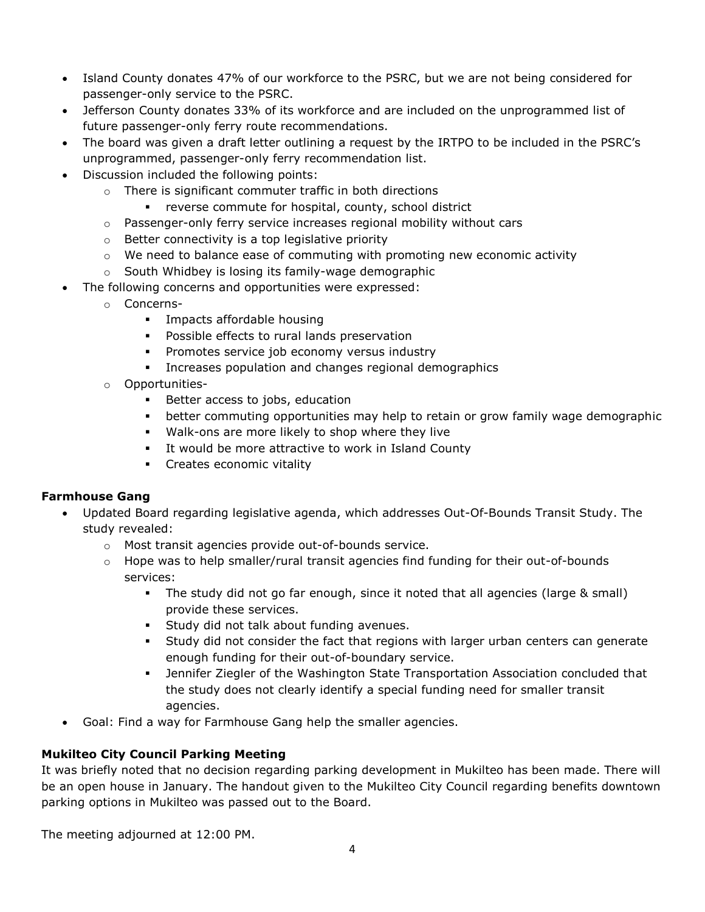- Island County donates 47% of our workforce to the PSRC, but we are not being considered for passenger-only service to the PSRC.
- Jefferson County donates 33% of its workforce and are included on the unprogrammed list of future passenger-only ferry route recommendations.
- The board was given a draft letter outlining a request by the IRTPO to be included in the PSRC's unprogrammed, passenger-only ferry recommendation list.
- Discussion included the following points:
	- o There is significant commuter traffic in both directions
		- reverse commute for hospital, county, school district
	- $\circ$  Passenger-only ferry service increases regional mobility without cars
	- o Better connectivity is a top legislative priority
	- $\circ$  We need to balance ease of commuting with promoting new economic activity
	- o South Whidbey is losing its family-wage demographic
- The following concerns and opportunities were expressed:
	- o Concerns-
		- **Impacts affordable housing**
		- **Possible effects to rural lands preservation**
		- **Promotes service job economy versus industry**
		- Increases population and changes regional demographics
	- o Opportunities-
		- **Better access to jobs, education**
		- better commuting opportunities may help to retain or grow family wage demographic
		- Walk-ons are more likely to shop where they live
		- **It would be more attractive to work in Island County**
		- **Creates economic vitality**

## **Farmhouse Gang**

- Updated Board regarding legislative agenda, which addresses Out-Of-Bounds Transit Study. The study revealed:
	- o Most transit agencies provide out-of-bounds service.
	- $\circ$  Hope was to help smaller/rural transit agencies find funding for their out-of-bounds services:
		- The study did not go far enough, since it noted that all agencies (large & small) provide these services.
		- **Study did not talk about funding avenues.**
		- Study did not consider the fact that regions with larger urban centers can generate enough funding for their out-of-boundary service.
		- Jennifer Ziegler of the Washington State Transportation Association concluded that the study does not clearly identify a special funding need for smaller transit agencies.
- Goal: Find a way for Farmhouse Gang help the smaller agencies.

# **Mukilteo City Council Parking Meeting**

It was briefly noted that no decision regarding parking development in Mukilteo has been made. There will be an open house in January. The handout given to the Mukilteo City Council regarding benefits downtown parking options in Mukilteo was passed out to the Board.

The meeting adjourned at 12:00 PM.